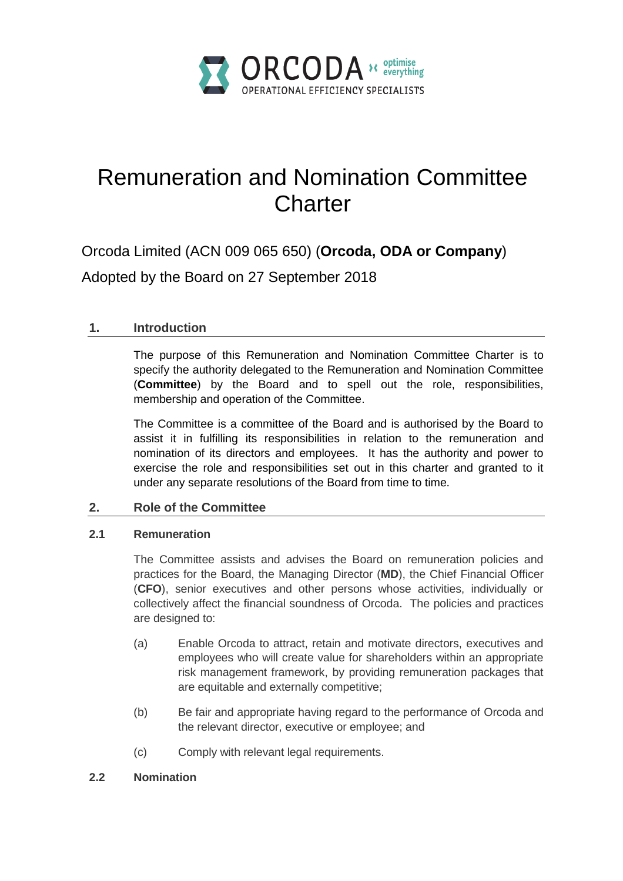

# Remuneration and Nomination Committee **Charter**

Orcoda Limited (ACN 009 065 650) (**Orcoda, ODA or Company**)

Adopted by the Board on 27 September 2018

# **1. Introduction**

The purpose of this Remuneration and Nomination Committee Charter is to specify the authority delegated to the Remuneration and Nomination Committee (**Committee**) by the Board and to spell out the role, responsibilities, membership and operation of the Committee.

The Committee is a committee of the Board and is authorised by the Board to assist it in fulfilling its responsibilities in relation to the remuneration and nomination of its directors and employees. It has the authority and power to exercise the role and responsibilities set out in this charter and granted to it under any separate resolutions of the Board from time to time.

# **2. Role of the Committee**

# **2.1 Remuneration**

The Committee assists and advises the Board on remuneration policies and practices for the Board, the Managing Director (**MD**), the Chief Financial Officer (**CFO**), senior executives and other persons whose activities, individually or collectively affect the financial soundness of Orcoda. The policies and practices are designed to:

- (a) Enable Orcoda to attract, retain and motivate directors, executives and employees who will create value for shareholders within an appropriate risk management framework, by providing remuneration packages that are equitable and externally competitive;
- (b) Be fair and appropriate having regard to the performance of Orcoda and the relevant director, executive or employee; and
- (c) Comply with relevant legal requirements.

# **2.2 Nomination**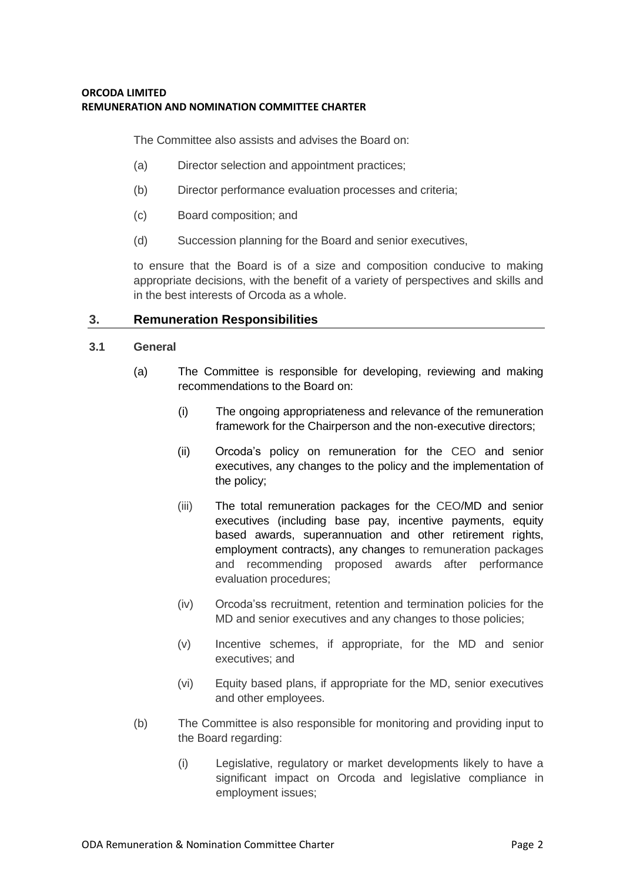The Committee also assists and advises the Board on:

- (a) Director selection and appointment practices;
- (b) Director performance evaluation processes and criteria;
- (c) Board composition; and
- (d) Succession planning for the Board and senior executives,

to ensure that the Board is of a size and composition conducive to making appropriate decisions, with the benefit of a variety of perspectives and skills and in the best interests of Orcoda as a whole.

## **3. Remuneration Responsibilities**

## **3.1 General**

- (a) The Committee is responsible for developing, reviewing and making recommendations to the Board on:
	- (i) The ongoing appropriateness and relevance of the remuneration framework for the Chairperson and the non-executive directors;
	- (ii) Orcoda's policy on remuneration for the CEO and senior executives, any changes to the policy and the implementation of the policy;
	- (iii) The total remuneration packages for the CEO/MD and senior executives (including base pay, incentive payments, equity based awards, superannuation and other retirement rights, employment contracts), any changes to remuneration packages and recommending proposed awards after performance evaluation procedures;
	- (iv) Orcoda'ss recruitment, retention and termination policies for the MD and senior executives and any changes to those policies;
	- (v) Incentive schemes, if appropriate, for the MD and senior executives; and
	- (vi) Equity based plans, if appropriate for the MD, senior executives and other employees.
- (b) The Committee is also responsible for monitoring and providing input to the Board regarding:
	- (i) Legislative, regulatory or market developments likely to have a significant impact on Orcoda and legislative compliance in employment issues;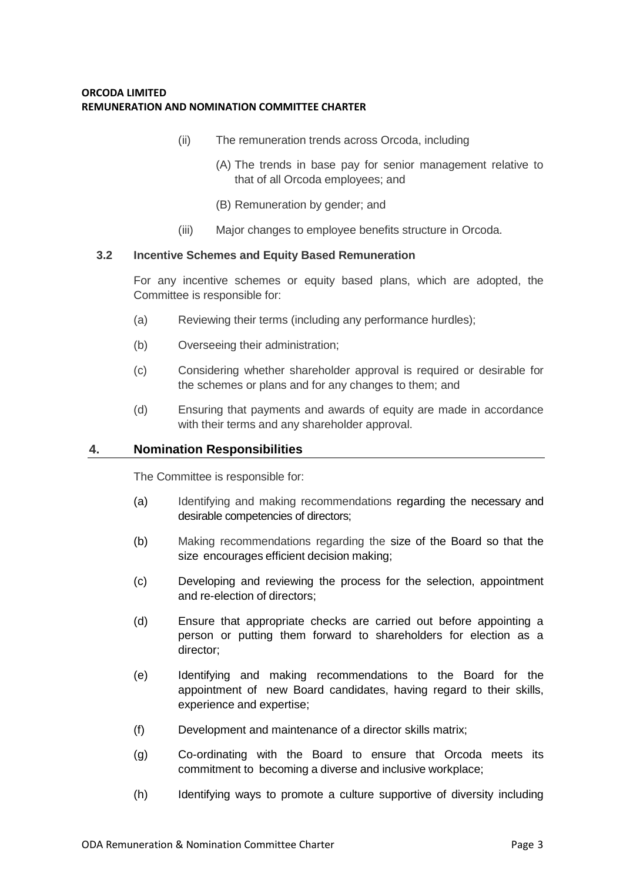- (ii) The remuneration trends across Orcoda, including
	- (A) The trends in base pay for senior management relative to that of all Orcoda employees; and
	- (B) Remuneration by gender; and
- (iii) Major changes to employee benefits structure in Orcoda.

#### **3.2 Incentive Schemes and Equity Based Remuneration**

For any incentive schemes or equity based plans, which are adopted, the Committee is responsible for:

- (a) Reviewing their terms (including any performance hurdles);
- (b) Overseeing their administration;
- (c) Considering whether shareholder approval is required or desirable for the schemes or plans and for any changes to them; and
- (d) Ensuring that payments and awards of equity are made in accordance with their terms and any shareholder approval.

#### **4. Nomination Responsibilities**

The Committee is responsible for:

- (a) Identifying and making recommendations regarding the necessary and desirable competencies of directors;
- (b) Making recommendations regarding the size of the Board so that the size encourages efficient decision making;
- (c) Developing and reviewing the process for the selection, appointment and re-election of directors;
- (d) Ensure that appropriate checks are carried out before appointing a person or putting them forward to shareholders for election as a director;
- (e) Identifying and making recommendations to the Board for the appointment of new Board candidates, having regard to their skills, experience and expertise;
- (f) Development and maintenance of a director skills matrix;
- (g) Co-ordinating with the Board to ensure that Orcoda meets its commitment to becoming a diverse and inclusive workplace;
- (h) Identifying ways to promote a culture supportive of diversity including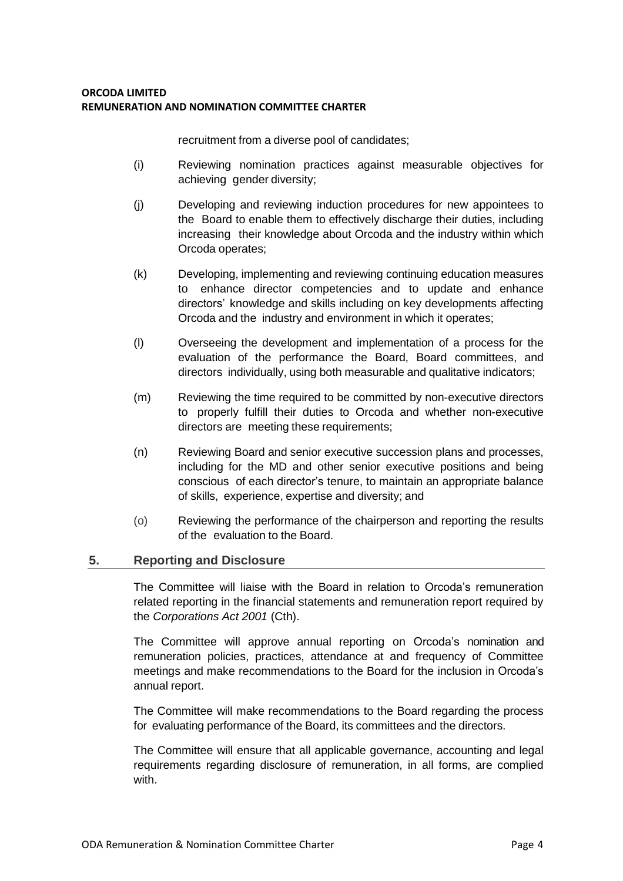recruitment from a diverse pool of candidates;

- (i) Reviewing nomination practices against measurable objectives for achieving gender diversity;
- (j) Developing and reviewing induction procedures for new appointees to the Board to enable them to effectively discharge their duties, including increasing their knowledge about Orcoda and the industry within which Orcoda operates;
- (k) Developing, implementing and reviewing continuing education measures to enhance director competencies and to update and enhance directors' knowledge and skills including on key developments affecting Orcoda and the industry and environment in which it operates;
- (l) Overseeing the development and implementation of a process for the evaluation of the performance the Board, Board committees, and directors individually, using both measurable and qualitative indicators;
- (m) Reviewing the time required to be committed by non-executive directors to properly fulfill their duties to Orcoda and whether non-executive directors are meeting these requirements;
- (n) Reviewing Board and senior executive succession plans and processes, including for the MD and other senior executive positions and being conscious of each director's tenure, to maintain an appropriate balance of skills, experience, expertise and diversity; and
- (o) Reviewing the performance of the chairperson and reporting the results of the evaluation to the Board.

# **5. Reporting and Disclosure**

The Committee will liaise with the Board in relation to Orcoda's remuneration related reporting in the financial statements and remuneration report required by the *Corporations Act 2001* (Cth).

The Committee will approve annual reporting on Orcoda's nomination and remuneration policies, practices, attendance at and frequency of Committee meetings and make recommendations to the Board for the inclusion in Orcoda's annual report.

The Committee will make recommendations to the Board regarding the process for evaluating performance of the Board, its committees and the directors.

The Committee will ensure that all applicable governance, accounting and legal requirements regarding disclosure of remuneration, in all forms, are complied with.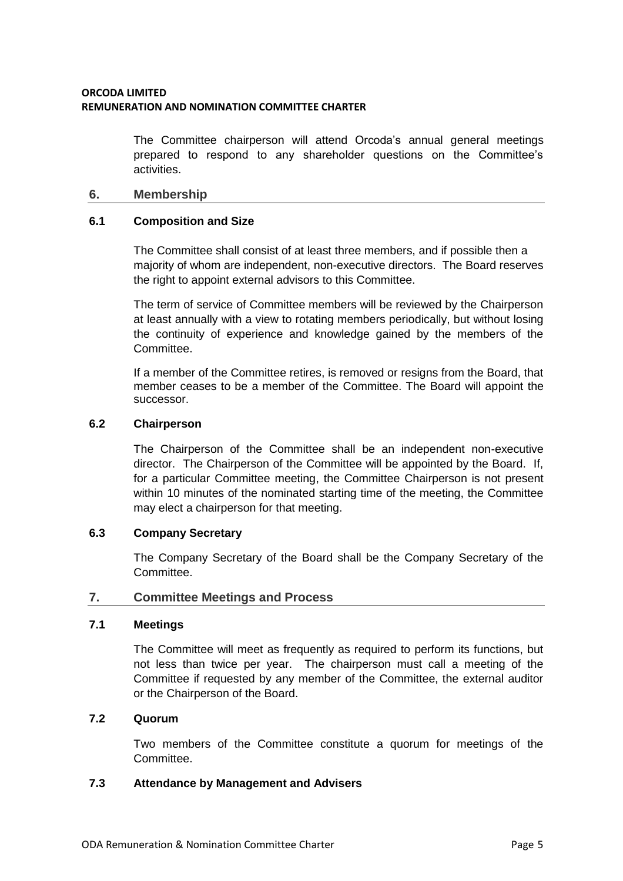The Committee chairperson will attend Orcoda's annual general meetings prepared to respond to any shareholder questions on the Committee's activities.

## **6. Membership**

#### **6.1 Composition and Size**

The Committee shall consist of at least three members, and if possible then a majority of whom are independent, non-executive directors. The Board reserves the right to appoint external advisors to this Committee.

The term of service of Committee members will be reviewed by the Chairperson at least annually with a view to rotating members periodically, but without losing the continuity of experience and knowledge gained by the members of the Committee.

If a member of the Committee retires, is removed or resigns from the Board, that member ceases to be a member of the Committee. The Board will appoint the successor.

#### **6.2 Chairperson**

The Chairperson of the Committee shall be an independent non-executive director. The Chairperson of the Committee will be appointed by the Board. If, for a particular Committee meeting, the Committee Chairperson is not present within 10 minutes of the nominated starting time of the meeting, the Committee may elect a chairperson for that meeting.

## **6.3 Company Secretary**

The Company Secretary of the Board shall be the Company Secretary of the Committee.

## **7. Committee Meetings and Process**

## **7.1 Meetings**

The Committee will meet as frequently as required to perform its functions, but not less than twice per year. The chairperson must call a meeting of the Committee if requested by any member of the Committee, the external auditor or the Chairperson of the Board.

# **7.2 Quorum**

Two members of the Committee constitute a quorum for meetings of the Committee.

## **7.3 Attendance by Management and Advisers**